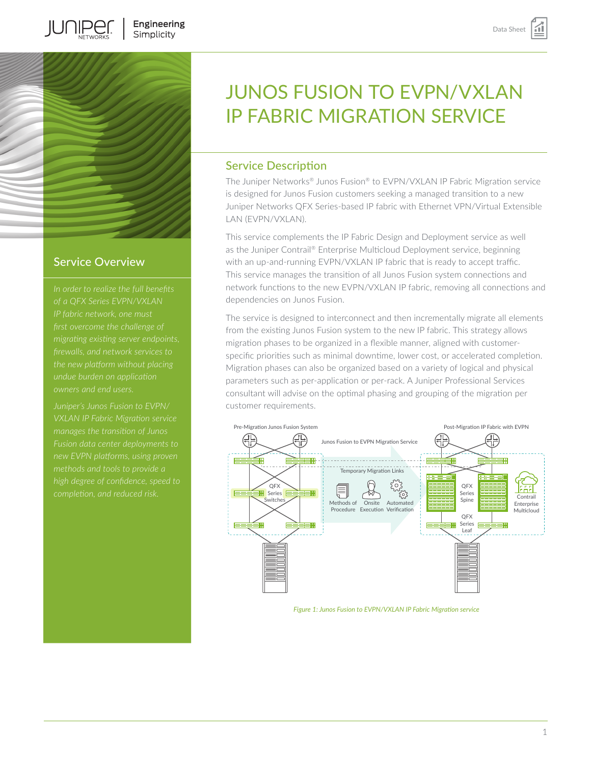

JUNIPER

## Service Overview

*migrating existing server endpoints,* 

*Juniper's Junos Fusion to EVPN/ new EVPN platforms, using proven high degree of confidence, speed to* 

# JUNOS FUSION TO EVPN/VXLAN IP FABRIC MIGRATION SERVICE

## Service Description

The Juniper Networks® Junos Fusion® to EVPN/VXLAN IP Fabric Migration service is designed for Junos Fusion customers seeking a managed transition to a new Juniper Networks QFX Series-based IP fabric with Ethernet VPN/Virtual Extensible LAN (EVPN/VXLAN).

This service complements the IP Fabric Design and Deployment service as well as the Juniper Contrail® Enterprise Multicloud Deployment service, beginning with an up-and-running EVPN/VXLAN IP fabric that is ready to accept traffic. This service manages the transition of all Junos Fusion system connections and network functions to the new EVPN/VXLAN IP fabric, removing all connections and dependencies on Junos Fusion.

The service is designed to interconnect and then incrementally migrate all elements from the existing Junos Fusion system to the new IP fabric. This strategy allows migration phases to be organized in a flexible manner, aligned with customerspecific priorities such as minimal downtime, lower cost, or accelerated completion. Migration phases can also be organized based on a variety of logical and physical parameters such as per-application or per-rack. A Juniper Professional Services consultant will advise on the optimal phasing and grouping of the migration per customer requirements.



*Figure 1: Junos Fusion to EVPN/VXLAN IP Fabric Migration service*